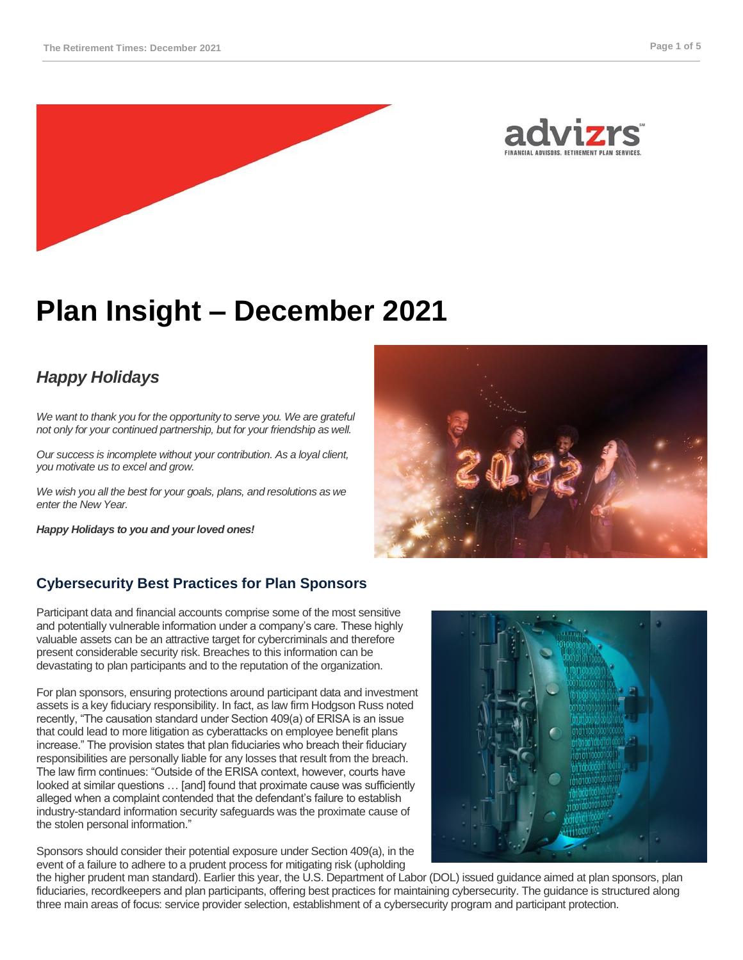



# **Plan Insight – December 2021**

# *Happy Holidays*

*We want to thank you for the opportunity to serve you. We are grateful not only for your continued partnership, but for your friendship as well.* 

*Our success is incomplete without your contribution. As a loyal client, you motivate us to excel and grow.* 

*We wish you all the best for your goals, plans, and resolutions as we enter the New Year.*

*Happy Holidays to you and your loved ones!*

# **Cybersecurity Best Practices for Plan Sponsors**

Participant data and financial accounts comprise some of the most sensitive and potentially vulnerable information under a company's care. These highly valuable assets can be an attractive target for cybercriminals and therefore present considerable security risk. Breaches to this information can be devastating to plan participants and to the reputation of the organization.

For plan sponsors, ensuring protections around participant data and investment assets is a key fiduciary responsibility. In fact, as law firm Hodgson Russ noted recently, "The causation standard under Section 409(a) of ERISA is an issue that could lead to more litigation as cyberattacks on employee benefit plans increase." The provision states that plan fiduciaries who breach their fiduciary responsibilities are personally liable for any losses that result from the breach. The law firm continues: "Outside of the ERISA context, however, courts have looked at similar questions … [and] found that proximate cause was sufficiently alleged when a complaint contended that the defendant's failure to establish industry-standard information security safeguards was the proximate cause of the stolen personal information."

Sponsors should consider their potential exposure under Section 409(a), in the event of a failure to adhere to a prudent process for mitigating risk (upholding



the higher prudent man standard). Earlier this year, the U.S. Department of Labor (DOL) issued guidance aimed at plan sponsors, plan fiduciaries, recordkeepers and plan participants, offering best practices for maintaining cybersecurity. The guidance is structured along three main areas of focus: service provider selection, establishment of a cybersecurity program and participant protection.

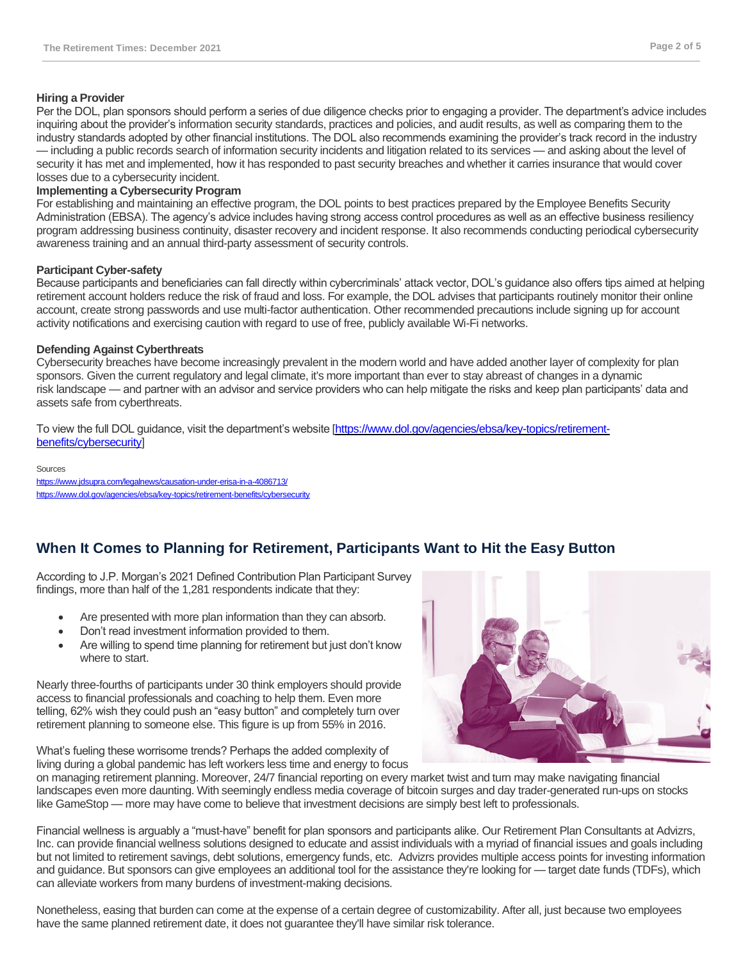## **Hiring a Provider**

Per the DOL, plan sponsors should perform a series of due diligence checks prior to engaging a provider. The department's advice includes inquiring about the provider's information security standards, practices and policies, and audit results, as well as comparing them to the industry standards adopted by other financial institutions. The DOL also recommends examining the provider's track record in the industry — including a public records search of information security incidents and litigation related to its services — and asking about the level of security it has met and implemented, how it has responded to past security breaches and whether it carries insurance that would cover losses due to a cybersecurity incident.

# **Implementing a Cybersecurity Program**

For establishing and maintaining an effective program, the DOL points to best practices prepared by the Employee Benefits Security Administration (EBSA). The agency's advice includes having strong access control procedures as well as an effective business resiliency program addressing business continuity, disaster recovery and incident response. It also recommends conducting periodical cybersecurity awareness training and an annual third-party assessment of security controls.

## **Participant Cyber-safety**

Because participants and beneficiaries can fall directly within cybercriminals' attack vector, DOL's guidance also offers tips aimed at helping retirement account holders reduce the risk of fraud and loss. For example, the DOL advises that participants routinely monitor their online account, create strong passwords and use multi-factor authentication. Other recommended precautions include signing up for account activity notifications and exercising caution with regard to use of free, publicly available Wi-Fi networks.

## **Defending Against Cyberthreats**

Cybersecurity breaches have become increasingly prevalent in the modern world and have added another layer of complexity for plan sponsors. Given the current regulatory and legal climate, it's more important than ever to stay abreast of changes in a dynamic risk landscape — and partner with an advisor and service providers who can help mitigate the risks and keep plan participants' data and assets safe from cyberthreats.

To view the full DOL guidance, visit the department's website [\[https://www.dol.gov/agencies/ebsa/key-topics/retirement](https://www.dol.gov/agencies/ebsa/key-topics/retirement-benefits/cybersecurity)[benefits/cybersecurity\]](https://www.dol.gov/agencies/ebsa/key-topics/retirement-benefits/cybersecurity)

#### **Sources**

<https://www.jdsupra.com/legalnews/causation-under-erisa-in-a-4086713/> <https://www.dol.gov/agencies/ebsa/key-topics/retirement-benefits/cybersecurity>

# **When It Comes to Planning for Retirement, Participants Want to Hit the Easy Button**

According to J.P. Morgan's 2021 Defined Contribution Plan Participant Survey findings, more than half of the 1,281 respondents indicate that they:

- Are presented with more plan information than they can absorb.
- Don't read investment information provided to them.
- Are willing to spend time planning for retirement but just don't know where to start.

Nearly three-fourths of participants under 30 think employers should provide access to financial professionals and coaching to help them. Even more telling, 62% wish they could push an "easy button" and completely turn over retirement planning to someone else. This figure is up from 55% in 2016.

What's fueling these worrisome trends? Perhaps the added complexity of living during a global pandemic has left workers less time and energy to focus

on managing retirement planning. Moreover, 24/7 financial reporting on every market twist and turn may make navigating financial landscapes even more daunting. With seemingly endless media coverage of bitcoin surges and day trader-generated run-ups on stocks like GameStop — more may have come to believe that investment decisions are simply best left to professionals.

Financial wellness is arguably a "must-have" benefit for plan sponsors and participants alike. Our Retirement Plan Consultants at Advizrs, Inc. can provide financial wellness solutions designed to educate and assist individuals with a myriad of financial issues and goals including but not limited to retirement savings, debt solutions, emergency funds, etc. Advizrs provides multiple access points for investing information and guidance. But sponsors can give employees an additional tool for the assistance they're looking for — target date funds (TDFs), which can alleviate workers from many burdens of investment-making decisions.

Nonetheless, easing that burden can come at the expense of a certain degree of customizability. After all, just because two employees have the same planned retirement date, it does not guarantee they'll have similar risk tolerance.

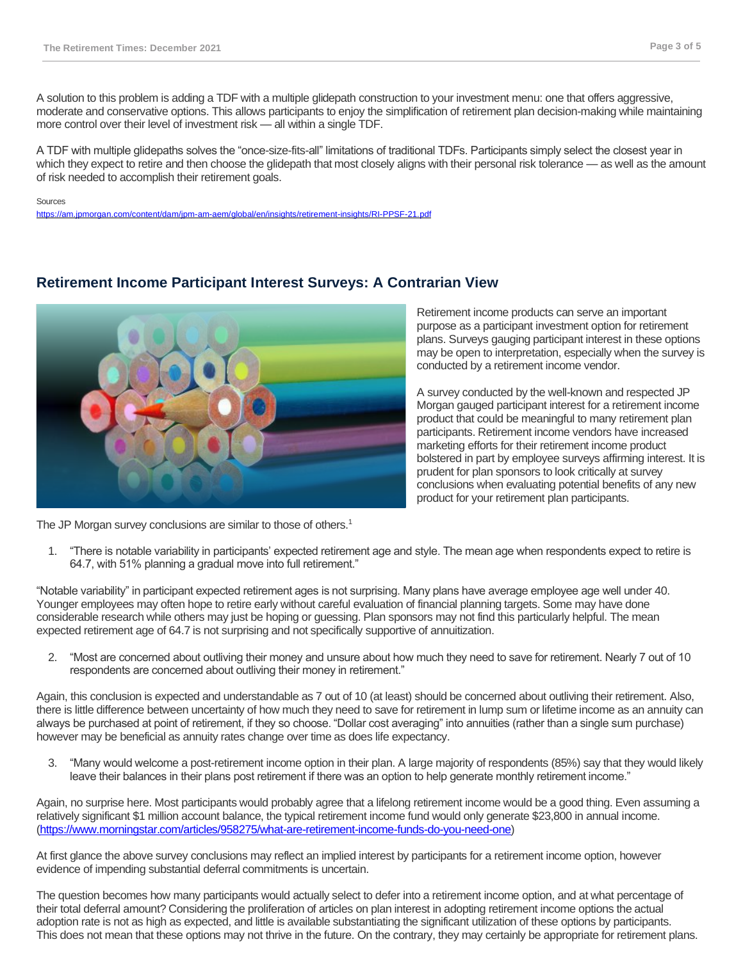A solution to this problem is adding a TDF with a multiple glidepath construction to your investment menu: one that offers aggressive, moderate and conservative options. This allows participants to enjoy the simplification of retirement plan decision-making while maintaining more control over their level of investment risk — all within a single TDF.

A TDF with multiple glidepaths solves the "once-size-fits-all" limitations of traditional TDFs. Participants simply select the closest year in which they expect to retire and then choose the glidepath that most closely aligns with their personal risk tolerance — as well as the amount of risk needed to accomplish their retirement goals.

#### Sources

<https://am.jpmorgan.com/content/dam/jpm-am-aem/global/en/insights/retirement-insights/RI-PPSF-21.pdf>

# **Retirement Income Participant Interest Surveys: A Contrarian View**



Retirement income products can serve an important purpose as a participant investment option for retirement plans. Surveys gauging participant interest in these options may be open to interpretation, especially when the survey is conducted by a retirement income vendor.

A survey conducted by the well-known and respected JP Morgan gauged participant interest for a retirement income product that could be meaningful to many retirement plan participants. Retirement income vendors have increased marketing efforts for their retirement income product bolstered in part by employee surveys affirming interest. It is prudent for plan sponsors to look critically at survey conclusions when evaluating potential benefits of any new product for your retirement plan participants.

- The JP Morgan survey conclusions are similar to those of others.<sup>1</sup>
	- 1. "There is notable variability in participants' expected retirement age and style. The mean age when respondents expect to retire is 64.7, with 51% planning a gradual move into full retirement."

"Notable variability" in participant expected retirement ages is not surprising. Many plans have average employee age well under 40. Younger employees may often hope to retire early without careful evaluation of financial planning targets. Some may have done considerable research while others may just be hoping or guessing. Plan sponsors may not find this particularly helpful. The mean expected retirement age of 64.7 is not surprising and not specifically supportive of annuitization.

2. "Most are concerned about outliving their money and unsure about how much they need to save for retirement. Nearly 7 out of 10 respondents are concerned about outliving their money in retirement."

Again, this conclusion is expected and understandable as 7 out of 10 (at least) should be concerned about outliving their retirement. Also, there is little difference between uncertainty of how much they need to save for retirement in lump sum or lifetime income as an annuity can always be purchased at point of retirement, if they so choose. "Dollar cost averaging" into annuities (rather than a single sum purchase) however may be beneficial as annuity rates change over time as does life expectancy.

3. "Many would welcome a post-retirement income option in their plan. A large majority of respondents (85%) say that they would likely leave their balances in their plans post retirement if there was an option to help generate monthly retirement income."

Again, no surprise here. Most participants would probably agree that a lifelong retirement income would be a good thing. Even assuming a relatively significant \$1 million account balance, the typical retirement income fund would only generate \$23,800 in annual income. [\(https://www.morningstar.com/articles/958275/what-are-retirement-income-funds-do-you-need-one\)](https://www.morningstar.com/articles/958275/what-are-retirement-income-funds-do-you-need-one)

At first glance the above survey conclusions may reflect an implied interest by participants for a retirement income option, however evidence of impending substantial deferral commitments is uncertain.

The question becomes how many participants would actually select to defer into a retirement income option, and at what percentage of their total deferral amount? Considering the proliferation of articles on plan interest in adopting retirement income options the actual adoption rate is not as high as expected, and little is available substantiating the significant utilization of these options by participants. This does not mean that these options may not thrive in the future. On the contrary, they may certainly be appropriate for retirement plans.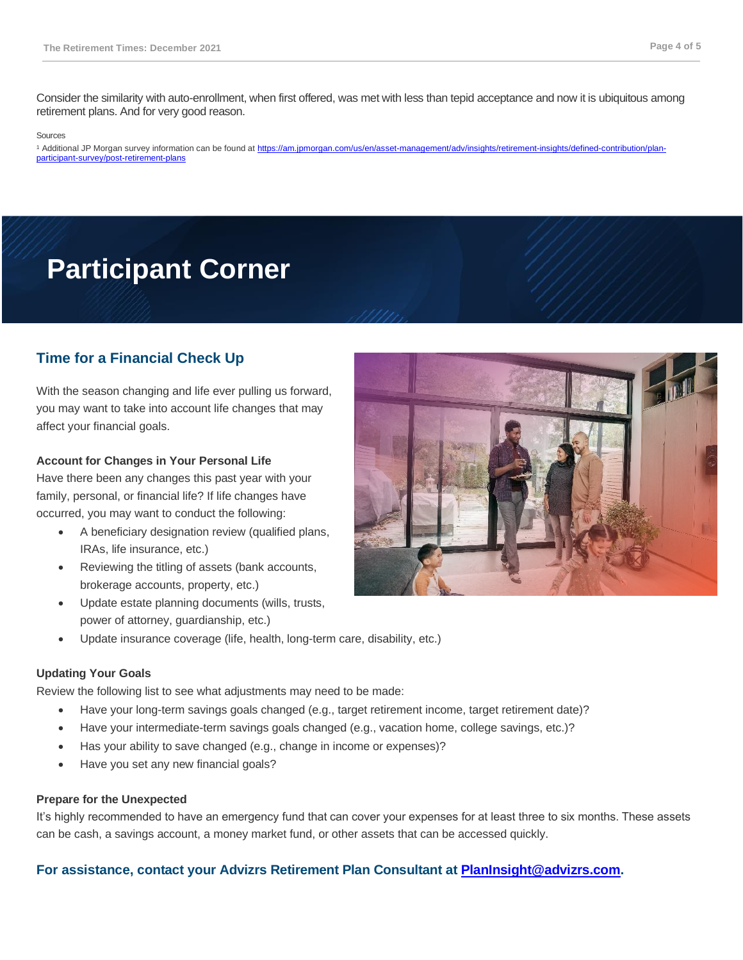Consider the similarity with auto-enrollment, when first offered, was met with less than tepid acceptance and now it is ubiquitous among retirement plans. And for very good reason.

#### Sources

1 Additional JP Morgan survey information can be found at [https://am.jpmorgan.com/us/en/asset-management/adv/insights/retirement-insights/defined-contribution/plan](https://am.jpmorgan.com/us/en/asset-management/adv/insights/retirement-insights/defined-contribution/plan-participant-survey/post-retirement-plans)[participant-survey/post-retirement-plans](https://am.jpmorgan.com/us/en/asset-management/adv/insights/retirement-insights/defined-contribution/plan-participant-survey/post-retirement-plans)

# **Participant Corner**

# **Time for a Financial Check Up**

With the season changing and life ever pulling us forward, you may want to take into account life changes that may affect your financial goals.

## **Account for Changes in Your Personal Life**

Have there been any changes this past year with your family, personal, or financial life? If life changes have occurred, you may want to conduct the following:

- A beneficiary designation review (qualified plans, IRAs, life insurance, etc.)
- Reviewing the titling of assets (bank accounts, brokerage accounts, property, etc.)
- Update estate planning documents (wills, trusts, power of attorney, guardianship, etc.)



• Update insurance coverage (life, health, long-term care, disability, etc.)

### **Updating Your Goals**

Review the following list to see what adjustments may need to be made:

- Have your long-term savings goals changed (e.g., target retirement income, target retirement date)?
- Have your intermediate-term savings goals changed (e.g., vacation home, college savings, etc.)?
- Has your ability to save changed (e.g., change in income or expenses)?
- Have you set any new financial goals?

### **Prepare for the Unexpected**

It's highly recommended to have an emergency fund that can cover your expenses for at least three to six months. These assets can be cash, a savings account, a money market fund, or other assets that can be accessed quickly.

# **For assistance, contact your Advizrs Retirement Plan Consultant at [PlanInsight@advizrs.com.](mailto:PlanInsight@advizrs.com)**